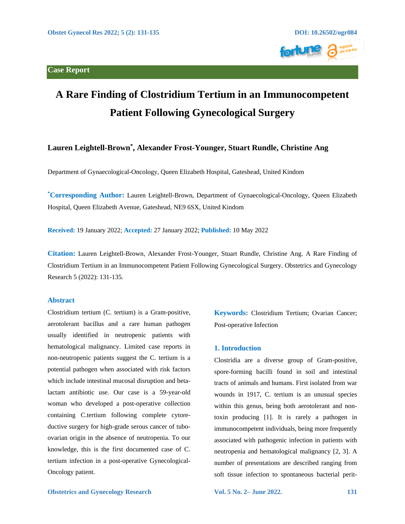



# **A Rare Finding of Clostridium Tertium in an Immunocompetent Patient Following Gynecological Surgery**

# **Lauren Leightell-Brown\* , Alexander Frost-Younger, Stuart Rundle, Christine Ang**

Department of Gynaecological-Oncology, Queen Elizabeth Hospital, Gateshead, United Kindom

**\*Corresponding Author:** Lauren Leightell-Brown, Department of Gynaecological-Oncology, Queen Elizabeth Hospital, Queen Elizabeth Avenue, Gateshead, NE9 6SX, United Kindom

**Received:** 19 January 2022; **Accepted:** 27 January 2022; **Published:** 10 May 2022

**Citation:** Lauren Leightell-Brown, Alexander Frost-Younger, Stuart Rundle, Christine Ang. A Rare Finding of Clostridium Tertium in an Immunocompetent Patient Following Gynecological Surgery. Obstetrics and Gynecology Research 5 (2022): 131-135.

#### **Abstract**

Clostridium tertium (C. tertium) is a Gram-positive, aerotolerant bacillus and a rare human pathogen usually identified in neutropenic patients with hematological malignancy. Limited case reports in non-neutropenic patients suggest the C. tertium is a potential pathogen when associated with risk factors which include intestinal mucosal disruption and betalactam antibiotic use. Our case is a 59-year-old woman who developed a post-operative collection containing C.tertium following complete cytoreductive surgery for high-grade serous cancer of tuboovarian origin in the absence of neutropenia. To our knowledge, this is the first documented case of C. tertium infection in a post-operative Gynecological-Oncology patient.

**Keywords:** Clostridium Tertium; Ovarian Cancer; Post-operative Infection

#### **1. Introduction**

Clostridia are a diverse group of Gram-positive, spore-forming bacilli found in soil and intestinal tracts of animals and humans. First isolated from war wounds in 1917, C. tertium is an unusual species within this genus, being both aerotolerant and nontoxin producing [1]. It is rarely a pathogen in immunocompetent individuals, being more frequently associated with pathogenic infection in patients with neutropenia and hematological malignancy [2, 3]. A number of presentations are described ranging from soft tissue infection to spontaneous bacterial perit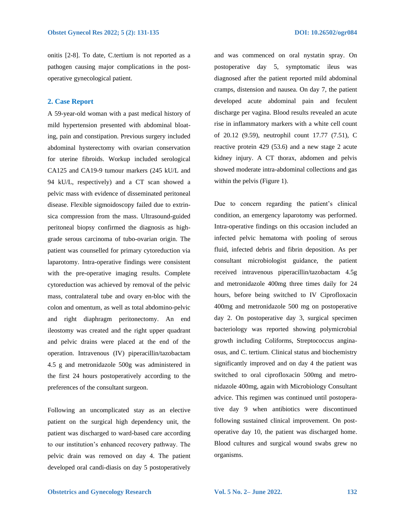onitis [2-8]. To date, C.tertium is not reported as a pathogen causing major complications in the postoperative gynecological patient.

### **2. Case Report**

A 59-year-old woman with a past medical history of mild hypertension presented with abdominal bloating, pain and constipation. Previous surgery included abdominal hysterectomy with ovarian conservation for uterine fibroids. Workup included serological CA125 and CA19-9 tumour markers (245 kU/L and 94 kU/L, respectively) and a CT scan showed a pelvic mass with evidence of disseminated peritoneal disease. Flexible sigmoidoscopy failed due to extrinsica compression from the mass. Ultrasound-guided peritoneal biopsy confirmed the diagnosis as highgrade serous carcinoma of tubo-ovarian origin. The patient was counselled for primary cytoreduction via laparotomy. Intra-operative findings were consistent with the pre-operative imaging results. Complete cytoreduction was achieved by removal of the pelvic mass, contralateral tube and ovary en-bloc with the colon and omentum, as well as total abdomino-pelvic and right diaphragm peritonectomy. An end ileostomy was created and the right upper quadrant and pelvic drains were placed at the end of the operation. Intravenous (IV) piperacillin/tazobactam 4.5 g and metronidazole 500g was administered in the first 24 hours postoperatively according to the preferences of the consultant surgeon.

Following an uncomplicated stay as an elective patient on the surgical high dependency unit, the patient was discharged to ward-based care according to our institution's enhanced recovery pathway. The pelvic drain was removed on day 4. The patient developed oral candi-diasis on day 5 postoperatively and was commenced on oral nystatin spray. On postoperative day 5, symptomatic ileus was diagnosed after the patient reported mild abdominal cramps, distension and nausea. On day 7, the patient developed acute abdominal pain and feculent discharge per vagina. Blood results revealed an acute rise in inflammatory markers with a white cell count of 20.12 (9.59), neutrophil count 17.77 (7.51), C reactive protein 429 (53.6) and a new stage 2 acute kidney injury. A CT thorax, abdomen and pelvis showed moderate intra-abdominal collections and gas within the pelvis (Figure 1).

Due to concern regarding the patient's clinical condition, an emergency laparotomy was performed. Intra-operative findings on this occasion included an infected pelvic hematoma with pooling of serous fluid, infected debris and fibrin deposition. As per consultant microbiologist guidance, the patient received intravenous piperacillin/tazobactam 4.5g and metronidazole 400mg three times daily for 24 hours, before being switched to IV Ciprofloxacin 400mg and metronidazole 500 mg on postoperative day 2. On postoperative day 3, surgical specimen bacteriology was reported showing polymicrobial growth including Coliforms, Streptococcus anginaosus, and C. tertium. Clinical status and biochemistry significantly improved and on day 4 the patient was switched to oral ciprofloxacin 500mg and metronidazole 400mg, again with Microbiology Consultant advice. This regimen was continued until postoperative day 9 when antibiotics were discontinued following sustained clinical improvement. On postoperative day 10, the patient was discharged home. Blood cultures and surgical wound swabs grew no organisms.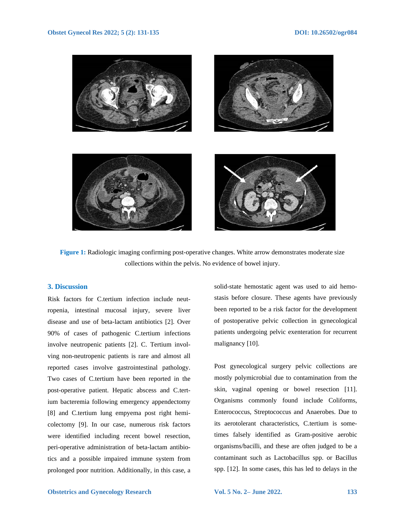

**Figure 1:** Radiologic imaging confirming post-operative changes. White arrow demonstrates moderate size collections within the pelvis. No evidence of bowel injury.

#### **3. Discussion**

Risk factors for C.tertium infection include neutropenia, intestinal mucosal injury, severe liver disease and use of beta-lactam antibiotics [2]. Over 90% of cases of pathogenic C.tertium infections involve neutropenic patients [2]. C. Tertium involving non-neutropenic patients is rare and almost all reported cases involve gastrointestinal pathology. Two cases of C.tertium have been reported in the post-operative patient. Hepatic abscess and C.tertium bacteremia following emergency appendectomy [8] and C.tertium lung empyema post right hemicolectomy [9]. In our case, numerous risk factors were identified including recent bowel resection, peri-operative administration of beta-lactam antibiotics and a possible impaired immune system from prolonged poor nutrition. Additionally, in this case, a solid-state hemostatic agent was used to aid hemostasis before closure. These agents have previously been reported to be a risk factor for the development of postoperative pelvic collection in gynecological patients undergoing pelvic exenteration for recurrent malignancy [10].

Post gynecological surgery pelvic collections are mostly polymicrobial due to contamination from the skin, vaginal opening or bowel resection [11]. Organisms commonly found include Coliforms, Enterococcus, Streptococcus and Anaerobes. Due to its aerotolerant characteristics, C.tertium is sometimes falsely identified as Gram-positive aerobic organisms/bacilli, and these are often judged to be a contaminant such as Lactobacillus spp. or Bacillus spp. [12]. In some cases, this has led to delays in the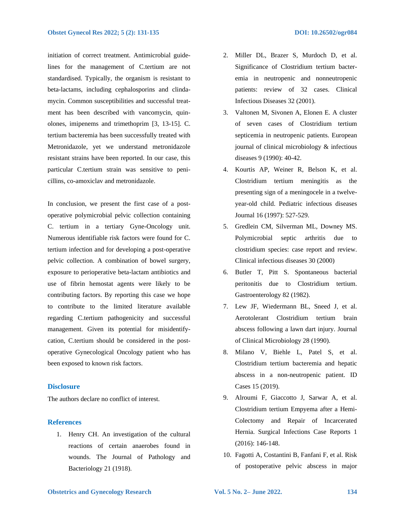initiation of correct treatment. Antimicrobial guidelines for the management of C.tertium are not standardised. Typically, the organism is resistant to beta-lactams, including cephalosporins and clindamycin. Common susceptibilities and successful treatment has been described with vancomycin, quinolones, imipenems and trimethoprim [3, 13-15]. C. tertium bacteremia has been successfully treated with Metronidazole, yet we understand metronidazole resistant strains have been reported. In our case, this particular C.tertium strain was sensitive to penicillins, co-amoxiclav and metronidazole.

In conclusion, we present the first case of a postoperative polymicrobial pelvic collection containing C. tertium in a tertiary Gyne-Oncology unit. Numerous identifiable risk factors were found for C. tertium infection and for developing a post-operative pelvic collection. A combination of bowel surgery, exposure to perioperative beta-lactam antibiotics and use of fibrin hemostat agents were likely to be contributing factors. By reporting this case we hope to contribute to the limited literature available regarding C.tertium pathogenicity and successful management. Given its potential for misidentifycation, C.tertium should be considered in the postoperative Gynecological Oncology patient who has been exposed to known risk factors.

### **Disclosure**

The authors declare no conflict of interest.

## **References**

1. Henry CH. An investigation of the cultural reactions of certain anaerobes found in wounds. The Journal of Pathology and Bacteriology 21 (1918).

- 2. Miller DL, Brazer S, Murdoch D, et al. Significance of Clostridium tertium bacteremia in neutropenic and nonneutropenic patients: review of 32 cases. Clinical Infectious Diseases 32 (2001).
- 3. Valtonen M, Sivonen A, Elonen E. A cluster of seven cases of Clostridium tertium septicemia in neutropenic patients. European journal of clinical microbiology & infectious diseases 9 (1990): 40-42.
- 4. Kourtis AP, Weiner R, Belson K, et al. Clostridium tertium meningitis as the presenting sign of a meningocele in a twelveyear-old child. Pediatric infectious diseases Journal 16 (1997): 527-529.
- 5. Gredlein CM, Silverman ML, Downey MS. Polymicrobial septic arthritis due to clostridium species: case report and review. Clinical infectious diseases 30 (2000)
- 6. Butler T, Pitt S. Spontaneous bacterial peritonitis due to Clostridium tertium. Gastroenterology 82 (1982).
- 7. Lew JF, Wiedermann BL, Sneed J, et al. Aerotolerant Clostridium tertium brain abscess following a lawn dart injury. Journal of Clinical Microbiology 28 (1990).
- 8. Milano V, Biehle L, Patel S, et al. Clostridium tertium bacteremia and hepatic abscess in a non-neutropenic patient. ID Cases 15 (2019).
- 9. Alroumi F, Giaccotto J, Sarwar A, et al. Clostridium tertium Empyema after a Hemi-Colectomy and Repair of Incarcerated Hernia. Surgical Infections Case Reports 1 (2016): 146-148.
- 10. Fagotti A, Costantini B, Fanfani F, et al. Risk of postoperative pelvic abscess in major